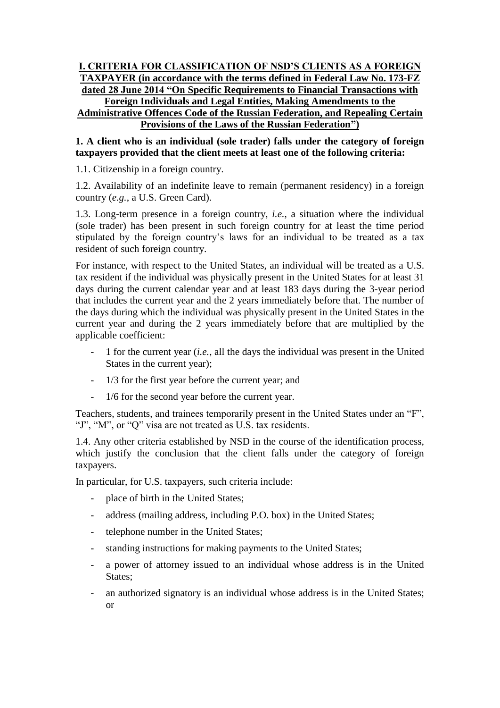## **I. CRITERIA FOR CLASSIFICATION OF NSD'S CLIENTS AS A FOREIGN TAXPAYER (in accordance with the terms defined in Federal Law No. 173-FZ dated 28 June 2014 "On Specific Requirements to Financial Transactions with Foreign Individuals and Legal Entities, Making Amendments to the Administrative Offences Code of the Russian Federation, and Repealing Certain Provisions of the Laws of the Russian Federation")**

## **1. A client who is an individual (sole trader) falls under the category of foreign taxpayers provided that the client meets at least one of the following criteria:**

1.1. Citizenship in a foreign country.

1.2. Availability of an indefinite leave to remain (permanent residency) in a foreign country (*e.g.*, a U.S. Green Card).

1.3. Long-term presence in a foreign country, *i.e.*, a situation where the individual (sole trader) has been present in such foreign country for at least the time period stipulated by the foreign country's laws for an individual to be treated as a tax resident of such foreign country.

For instance, with respect to the United States, an individual will be treated as a U.S. tax resident if the individual was physically present in the United States for at least 31 days during the current calendar year and at least 183 days during the 3-year period that includes the current year and the 2 years immediately before that. The number of the days during which the individual was physically present in the United States in the current year and during the 2 years immediately before that are multiplied by the applicable coefficient:

- 1 for the current year (*i.e.*, all the days the individual was present in the United States in the current year);
- 1/3 for the first year before the current year; and
- 1/6 for the second year before the current year.

Teachers, students, and trainees temporarily present in the United States under an "F", "J", "M", or "Q" visa are not treated as U.S. tax residents.

1.4. Any other criteria established by NSD in the course of the identification process, which justify the conclusion that the client falls under the category of foreign taxpayers.

In particular, for U.S. taxpayers, such criteria include:

- place of birth in the United States;
- address (mailing address, including P.O. box) in the United States;
- telephone number in the United States;
- standing instructions for making payments to the United States;
- a power of attorney issued to an individual whose address is in the United States;
- an authorized signatory is an individual whose address is in the United States; or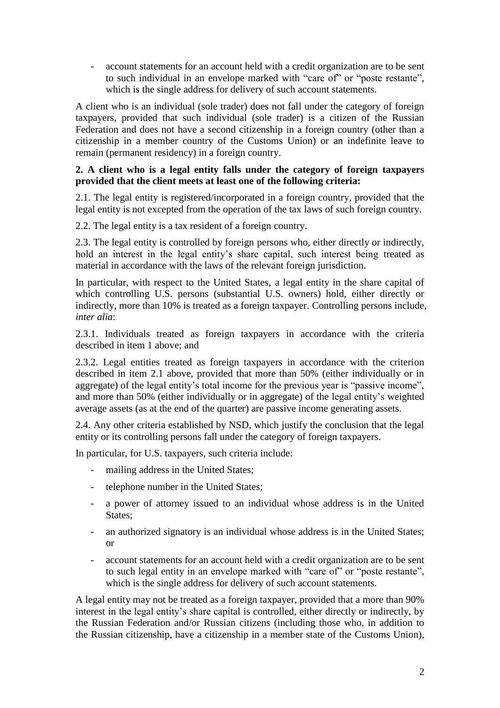- account statements for an account held with a credit organization are to be sent to such individual in an envelope marked with "care of" or "poste restante", which is the single address for delivery of such account statements.

A client who is an individual (sole trader) does not fall under the category of foreign taxpayers, provided that such individual (sole trader) is a citizen of the Russian Federation and does not have a second citizenship in a foreign country (other than a citizenship in a member country of the Customs Union) or an indefinite leave to remain (permanent residency) in a foreign country.

## **2. A client who is a legal entity falls under the category of foreign taxpayers provided that the client meets at least one of the following criteria:**

2.1. The legal entity is registered/incorporated in a foreign country, provided that the legal entity is not excepted from the operation of the tax laws of such foreign country.

2.2. The legal entity is a tax resident of a foreign country.

2.3. The legal entity is controlled by foreign persons who, either directly or indirectly, hold an interest in the legal entity's share capital, such interest being treated as material in accordance with the laws of the relevant foreign jurisdiction.

In particular, with respect to the United States, a legal entity in the share capital of which controlling U.S. persons (substantial U.S. owners) hold, either directly or indirectly, more than 10% is treated as a foreign taxpayer. Controlling persons include, *inter alia*:

2.3.1. Individuals treated as foreign taxpayers in accordance with the criteria described in item 1 above; and

2.3.2. Legal entities treated as foreign taxpayers in accordance with the criterion described in item 2.1 above, provided that more than 50% (either individually or in aggregate) of the legal entity's total income for the previous year is "passive income", and more than 50% (either individually or in aggregate) of the legal entity's weighted average assets (as at the end of the quarter) are passive income generating assets.

2.4. Any other criteria established by NSD, which justify the conclusion that the legal entity or its controlling persons fall under the category of foreign taxpayers.

In particular, for U.S. taxpayers, such criteria include:

- mailing address in the United States;
- telephone number in the United States;
- a power of attorney issued to an individual whose address is in the United States;
- an authorized signatory is an individual whose address is in the United States; or
- account statements for an account held with a credit organization are to be sent to such legal entity in an envelope marked with "care of" or "poste restante", which is the single address for delivery of such account statements.

A legal entity may not be treated as a foreign taxpayer, provided that a more than 90% interest in the legal entity's share capital is controlled, either directly or indirectly, by the Russian Federation and/or Russian citizens (including those who, in addition to the Russian citizenship, have a citizenship in a member state of the Customs Union),